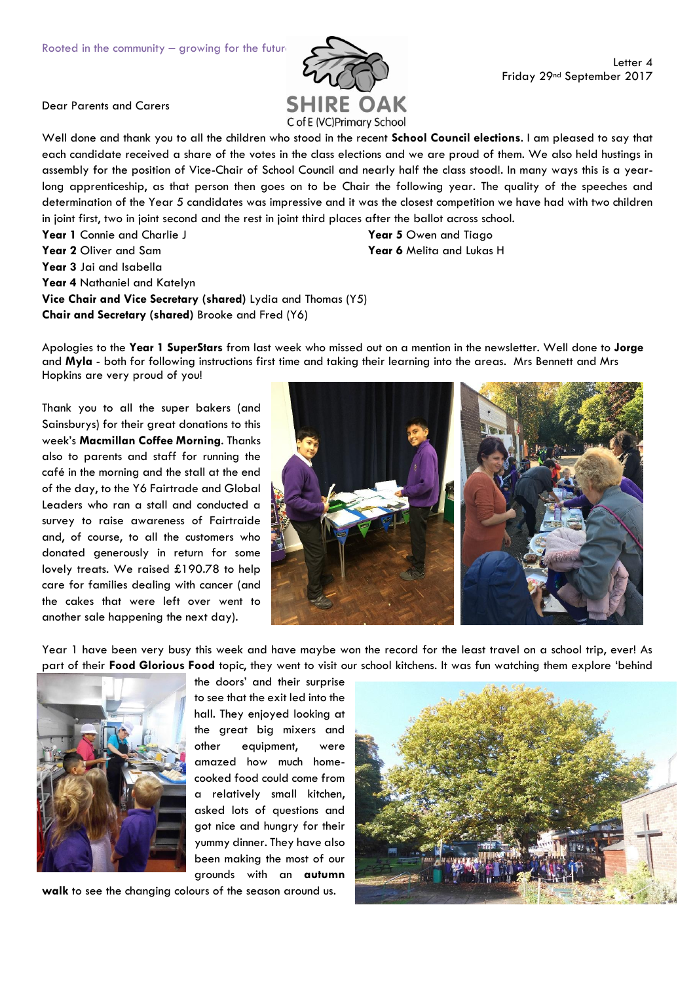

Dear Parents and Carers

Well done and thank you to all the children who stood in the recent **School Council elections**. I am pleased to say that each candidate received a share of the votes in the class elections and we are proud of them. We also held hustings in assembly for the position of Vice-Chair of School Council and nearly half the class stood!. In many ways this is a yearlong apprenticeship, as that person then goes on to be Chair the following year. The quality of the speeches and determination of the Year 5 candidates was impressive and it was the closest competition we have had with two children in joint first, two in joint second and the rest in joint third places after the ballot across school.

Year 1 Connie and Charlie J

**Year 2** Oliver and Sam

**Year 3** Jai and Isabella

**Year 4** Nathaniel and Katelyn

**Vice Chair and Vice Secretary (shared)** Lydia and Thomas (Y5) **Chair and Secretary (shared)** Brooke and Fred (Y6)

Apologies to the **Year 1 SuperStars** from last week who missed out on a mention in the newsletter. Well done to **Jorge** and **Myla** - both for following instructions first time and taking their learning into the areas. Mrs Bennett and Mrs Hopkins are very proud of you!

Thank you to all the super bakers (and Sainsburys) for their great donations to this week's **Macmillan Coffee Morning**. Thanks also to parents and staff for running the café in the morning and the stall at the end of the day, to the Y6 Fairtrade and Global Leaders who ran a stall and conducted a survey to raise awareness of Fairtraide and, of course, to all the customers who donated generously in return for some lovely treats. We raised £190.78 to help care for families dealing with cancer (and the cakes that were left over went to another sale happening the next day).



Year 1 have been very busy this week and have maybe won the record for the least travel on a school trip, ever! As part of their **Food Glorious Food** topic, they went to visit our school kitchens. It was fun watching them explore 'behind



the doors' and their surprise to see that the exit led into the hall. They enjoyed looking at the great big mixers and other equipment, were amazed how much homecooked food could come from a relatively small kitchen, asked lots of questions and got nice and hungry for their yummy dinner. They have also been making the most of our grounds with an **autumn** 

**walk** to see the changing colours of the season around us.



**Year 5** Owen and Tiago **Year 6** Melita and Lukas H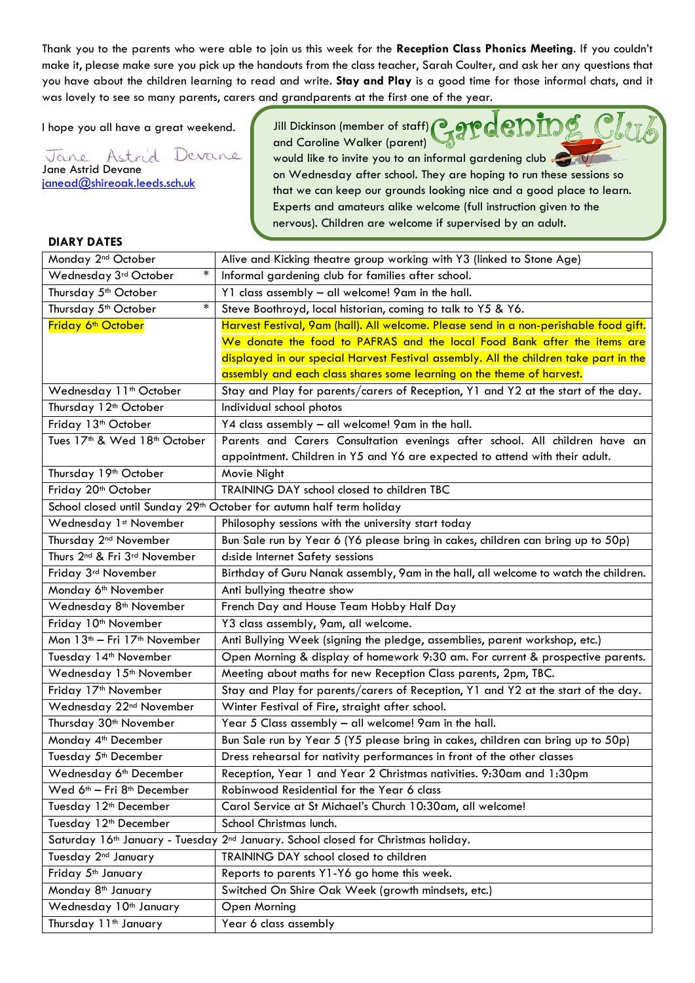Thank you to the parents who were able to join us this week for the **Reception Class Phonics Meeting**. If you couldn't make it, please make sure you pick up the handouts from the class teacher, Sarah Coulter, and ask her any questions that you have about the children learning to read and write. **Stay and Play** is a good time for those informal chats, and it was lovely to see so many parents, carers and grandparents at the first one of the year.

I hope you all have a great weekend.

Jane Astrid Devane Jane Astrid Devane [janead@shireoak.leeds.sch.uk](mailto:janead@shireoak.leeds.sch.uk)

Jill Dickinson (member of staff) and Caroline Walker (parent)

would like to invite you to an informal gardening club on Wednesday after school. They are hoping to run these sessions so that we can keep our grounds looking nice and a good place to learn. Experts and amateurs alike welcome (full instruction given to the nervous). Children are welcome if supervised by an adult.

## **DIARY DATES**

| Monday 2 <sup>nd</sup> October                                                   | Alive and Kicking theatre group working with Y3 (linked to Stone Age)                                     |
|----------------------------------------------------------------------------------|-----------------------------------------------------------------------------------------------------------|
| $\ast$<br>Wednesday 3rd October                                                  | Informal gardening club for families after school.                                                        |
| Thursday 5 <sup>th</sup> October                                                 | Y1 class assembly - all welcome! 9am in the hall.                                                         |
| $\ast$<br>Thursday 5 <sup>th</sup> October                                       | Steve Boothroyd, local historian, coming to talk to Y5 & Y6.                                              |
| Friday 6 <sup>th</sup> October                                                   | Harvest Festival, 9am (hall). All welcome. Please send in a non-perishable food gift.                     |
|                                                                                  | We donate the food to PAFRAS and the local Food Bank after the items are                                  |
|                                                                                  | displayed in our special Harvest Festival assembly. All the children take part in the                     |
|                                                                                  | assembly and each class shares some learning on the theme of harvest.                                     |
| Wednesday 11 <sup>th</sup> October                                               | Stay and Play for parents/carers of Reception, Y1 and Y2 at the start of the day.                         |
| Thursday 12 <sup>th</sup> October                                                | Individual school photos                                                                                  |
| Friday 13 <sup>th</sup> October                                                  | Y4 class assembly - all welcome! 9am in the hall.                                                         |
| Tues 17 <sup>th</sup> & Wed 18 <sup>th</sup> October                             | Parents and Carers Consultation evenings after school. All children have an                               |
|                                                                                  | appointment. Children in Y5 and Y6 are expected to attend with their adult.                               |
| Thursday 19 <sup>th</sup> October                                                | Movie Night                                                                                               |
| Friday 20 <sup>th</sup> October                                                  | TRAINING DAY school closed to children TBC                                                                |
| School closed until Sunday 29 <sup>th</sup> October for autumn half term holiday |                                                                                                           |
| Wednesday 1st November                                                           | Philosophy sessions with the university start today                                                       |
| Thursday 2 <sup>nd</sup> November                                                | Bun Sale run by Year 6 (Y6 please bring in cakes, children can bring up to 50p)                           |
| Thurs 2 <sup>nd</sup> & Fri 3 <sup>rd</sup> November                             | d:side Internet Safety sessions                                                                           |
| Friday 3rd November                                                              | Birthday of Guru Nanak assembly, 9am in the hall, all welcome to watch the children.                      |
| Monday 6 <sup>th</sup> November                                                  | Anti bullying theatre show                                                                                |
| Wednesday 8 <sup>th</sup> November                                               | French Day and House Team Hobby Half Day                                                                  |
| Friday 10 <sup>th</sup> November                                                 | Y3 class assembly, 9am, all welcome.                                                                      |
| Mon 13 <sup>th</sup> - Fri 17 <sup>th</sup> November                             | Anti Bullying Week (signing the pledge, assemblies, parent workshop, etc.)                                |
| Tuesday 14 <sup>th</sup> November                                                | Open Morning & display of homework 9:30 am. For current & prospective parents.                            |
| Wednesday 15 <sup>th</sup> November                                              | Meeting about maths for new Reception Class parents, 2pm, TBC.                                            |
| Friday 17 <sup>th</sup> November                                                 | Stay and Play for parents/carers of Reception, Y1 and Y2 at the start of the day.                         |
| Wednesday 22 <sup>nd</sup> November                                              | Winter Festival of Fire, straight after school.                                                           |
| Thursday 30 <sup>th</sup> November                                               | Year 5 Class assembly - all welcome! 9am in the hall.                                                     |
| Monday 4 <sup>th</sup> December                                                  | Bun Sale run by Year 5 (Y5 please bring in cakes, children can bring up to 50p)                           |
| Tuesday 5 <sup>th</sup> December                                                 | Dress rehearsal for nativity performances in front of the other classes                                   |
| Wednesday 6 <sup>th</sup> December                                               | Reception, Year 1 and Year 2 Christmas nativities. 9:30am and 1:30pm                                      |
| Wed 6 <sup>th</sup> - Fri 8 <sup>th</sup> December                               | Robinwood Residential for the Year 6 class                                                                |
| Tuesday 12 <sup>th</sup> December                                                | Carol Service at St Michael's Church 10:30am, all welcome!                                                |
| Tuesday 12 <sup>th</sup> December                                                | School Christmas lunch.                                                                                   |
|                                                                                  | Saturday 16 <sup>th</sup> January - Tuesday 2 <sup>nd</sup> January. School closed for Christmas holiday. |
| Tuesday 2 <sup>nd</sup> January                                                  | TRAINING DAY school closed to children                                                                    |
| Friday 5 <sup>th</sup> January                                                   | Reports to parents Y1-Y6 go home this week.                                                               |
| Monday 8 <sup>th</sup> January                                                   | Switched On Shire Oak Week (growth mindsets, etc.)                                                        |
| Wednesday 10 <sup>th</sup> January                                               | Open Morning                                                                                              |
| Thursday 11 <sup>th</sup> January                                                | Year 6 class assembly                                                                                     |